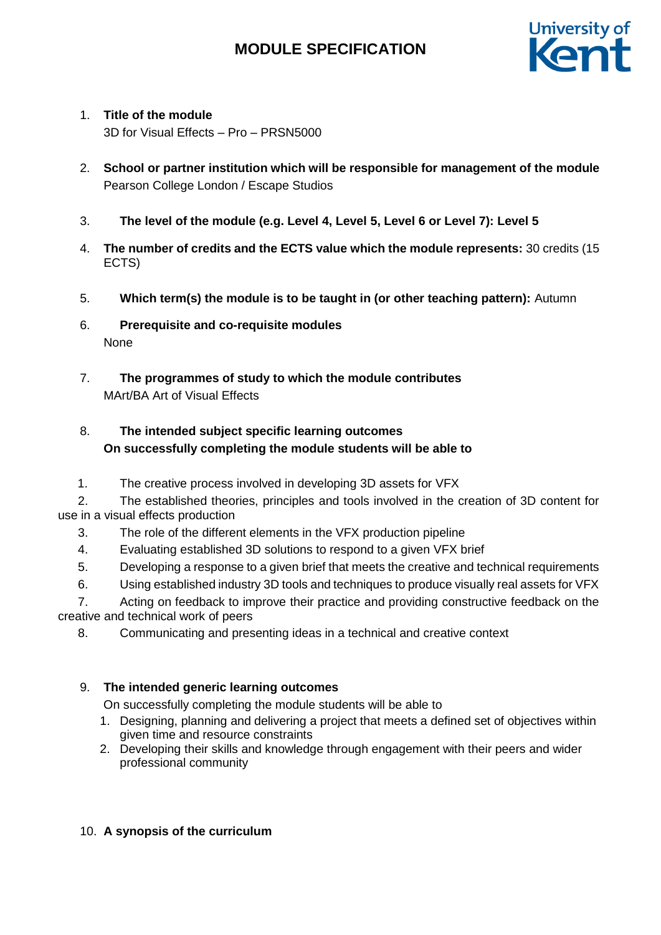

### 1. **Title of the module**

3D for Visual Effects – Pro – PRSN5000

- 2. **School or partner institution which will be responsible for management of the module** Pearson College London / Escape Studios
- 3. **The level of the module (e.g. Level 4, Level 5, Level 6 or Level 7): Level 5**
- 4. **The number of credits and the ECTS value which the module represents:** 30 credits (15 ECTS)
- 5. **Which term(s) the module is to be taught in (or other teaching pattern):** Autumn
- 6. **Prerequisite and co-requisite modules** None
- 7. **The programmes of study to which the module contributes** MArt/BA Art of Visual Effects

## 8. **The intended subject specific learning outcomes On successfully completing the module students will be able to**

1. The creative process involved in developing 3D assets for VFX

2. The established theories, principles and tools involved in the creation of 3D content for use in a visual effects production

- 3. The role of the different elements in the VFX production pipeline
- 4. Evaluating established 3D solutions to respond to a given VFX brief
- 5. Developing a response to a given brief that meets the creative and technical requirements
- 6. Using established industry 3D tools and techniques to produce visually real assets for VFX

7. Acting on feedback to improve their practice and providing constructive feedback on the creative and technical work of peers

8. Communicating and presenting ideas in a technical and creative context

### 9. **The intended generic learning outcomes**

On successfully completing the module students will be able to

- 1. Designing, planning and delivering a project that meets a defined set of objectives within given time and resource constraints
- 2. Developing their skills and knowledge through engagement with their peers and wider professional community

### 10. **A synopsis of the curriculum**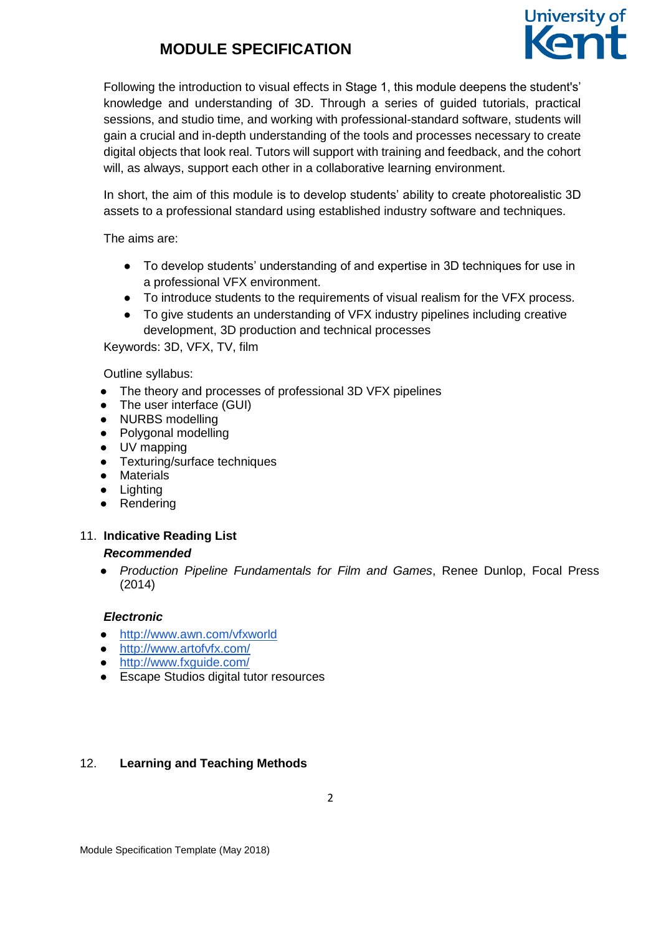

Following the introduction to visual effects in Stage 1, this module deepens the student's' knowledge and understanding of 3D. Through a series of guided tutorials, practical sessions, and studio time, and working with professional-standard software, students will gain a crucial and in-depth understanding of the tools and processes necessary to create digital objects that look real. Tutors will support with training and feedback, and the cohort will, as always, support each other in a collaborative learning environment.

In short, the aim of this module is to develop students' ability to create photorealistic 3D assets to a professional standard using established industry software and techniques.

The aims are:

- To develop students' understanding of and expertise in 3D techniques for use in a professional VFX environment.
- To introduce students to the requirements of visual realism for the VFX process.
- To give students an understanding of VFX industry pipelines including creative development, 3D production and technical processes

Keywords: 3D, VFX, TV, film

Outline syllabus:

- The theory and processes of professional 3D VFX pipelines
- The user interface (GUI)
- NURBS modelling
- Polygonal modelling
- UV mapping
- Texturing/surface techniques
- Materials
- Lighting
- Rendering

#### 11. **Indicative Reading List**

#### *Recommended*

● *Production Pipeline Fundamentals for Film and Games*, Renee Dunlop, Focal Press (2014)

#### *Electronic*

- <http://www.awn.com/vfxworld>
- <http://www.artofvfx.com/>
- <http://www.fxguide.com/>
- Escape Studios digital tutor resources

#### 12. **Learning and Teaching Methods**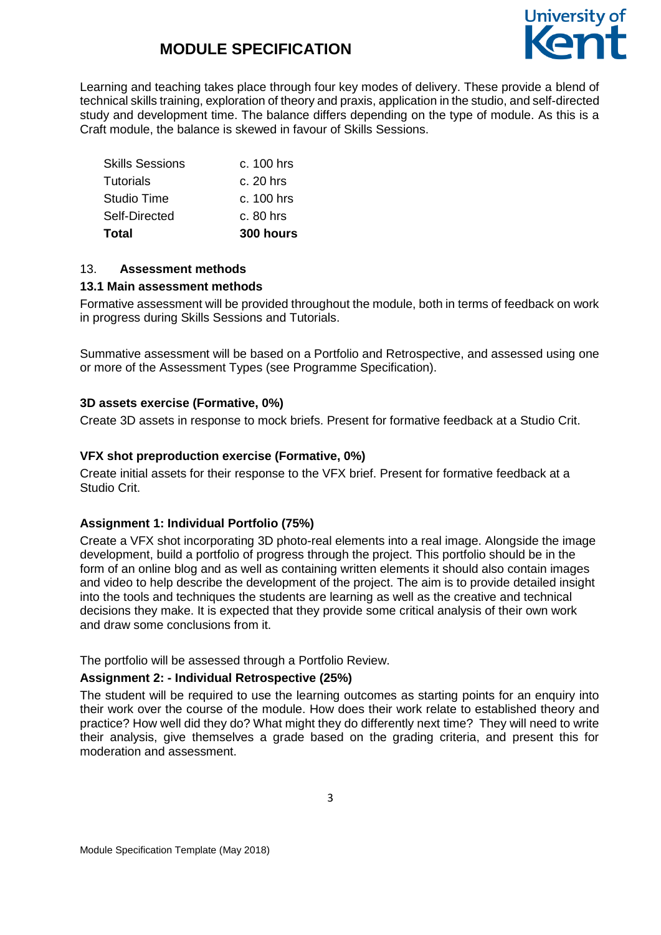

Learning and teaching takes place through four key modes of delivery. These provide a blend of technical skills training, exploration of theory and praxis, application in the studio, and self-directed study and development time. The balance differs depending on the type of module. As this is a Craft module, the balance is skewed in favour of Skills Sessions.

| Total                  | 300 hours    |
|------------------------|--------------|
| Self-Directed          | $c.80$ hrs   |
| Studio Time            | $c. 100$ hrs |
| Tutorials              | c. 20 hrs    |
| <b>Skills Sessions</b> | $c. 100$ hrs |

#### 13. **Assessment methods**

#### **13.1 Main assessment methods**

Formative assessment will be provided throughout the module, both in terms of feedback on work in progress during Skills Sessions and Tutorials.

Summative assessment will be based on a Portfolio and Retrospective, and assessed using one or more of the Assessment Types (see Programme Specification).

#### **3D assets exercise (Formative, 0%)**

Create 3D assets in response to mock briefs. Present for formative feedback at a Studio Crit.

#### **VFX shot preproduction exercise (Formative, 0%)**

Create initial assets for their response to the VFX brief. Present for formative feedback at a Studio Crit.

#### **Assignment 1: Individual Portfolio (75%)**

Create a VFX shot incorporating 3D photo-real elements into a real image. Alongside the image development, build a portfolio of progress through the project. This portfolio should be in the form of an online blog and as well as containing written elements it should also contain images and video to help describe the development of the project. The aim is to provide detailed insight into the tools and techniques the students are learning as well as the creative and technical decisions they make. It is expected that they provide some critical analysis of their own work and draw some conclusions from it.

The portfolio will be assessed through a Portfolio Review.

#### **Assignment 2: - Individual Retrospective (25%)**

The student will be required to use the learning outcomes as starting points for an enquiry into their work over the course of the module. How does their work relate to established theory and practice? How well did they do? What might they do differently next time? They will need to write their analysis, give themselves a grade based on the grading criteria, and present this for moderation and assessment.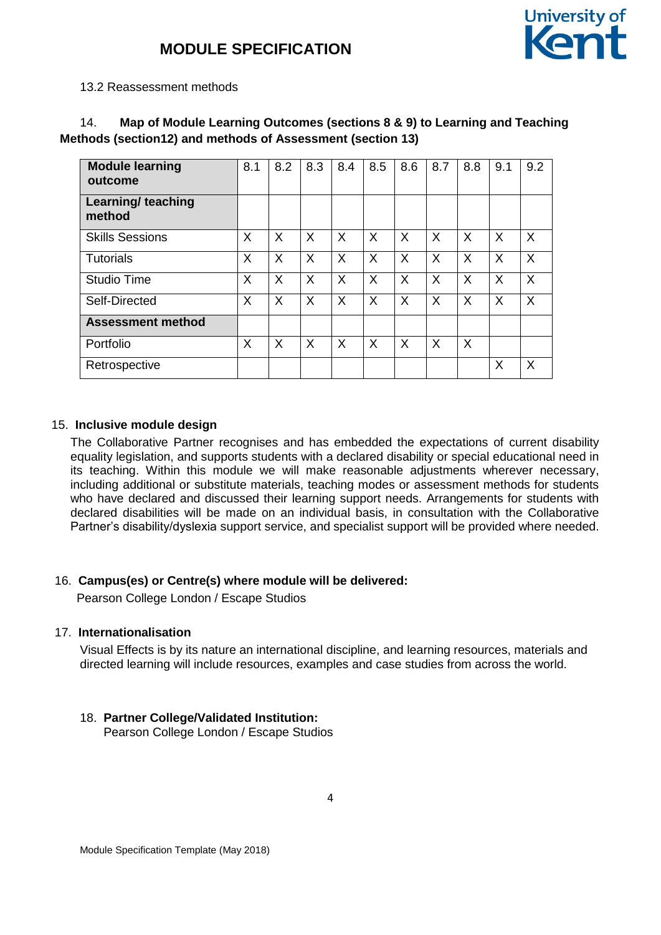

#### 13.2 Reassessment methods

| Map of Module Learning Outcomes (sections 8 & 9) to Learning and Teaching |
|---------------------------------------------------------------------------|
| Methods (section 12) and methods of Assessment (section 13)               |

| <b>Module learning</b><br>outcome | 8.1 | 8.2 | 8.3 | 8.4 | 8.5 | 8.6 | 8.7 | 8.8 | 9.1      | 9.2 |
|-----------------------------------|-----|-----|-----|-----|-----|-----|-----|-----|----------|-----|
| Learning/ teaching<br>method      |     |     |     |     |     |     |     |     |          |     |
| <b>Skills Sessions</b>            | X   | X   | X   | X   | X   | X   | X   | X   | X        | X   |
| <b>Tutorials</b>                  | X   | X   | X   | X   | X   | X   | X   | X   | $\times$ | X   |
| <b>Studio Time</b>                | X   | X   | X   | X   | X   | X   | X   | X   | X        | X   |
| Self-Directed                     | X   | X   | X   | X   | X   | X   | X   | X   | X        | X   |
| <b>Assessment method</b>          |     |     |     |     |     |     |     |     |          |     |
| Portfolio                         | X   | X   | X   | X   | X   | X   | X   | X   |          |     |
| Retrospective                     |     |     |     |     |     |     |     |     | X        | X   |

#### 15. **Inclusive module design**

The Collaborative Partner recognises and has embedded the expectations of current disability equality legislation, and supports students with a declared disability or special educational need in its teaching. Within this module we will make reasonable adjustments wherever necessary, including additional or substitute materials, teaching modes or assessment methods for students who have declared and discussed their learning support needs. Arrangements for students with declared disabilities will be made on an individual basis, in consultation with the Collaborative Partner's disability/dyslexia support service, and specialist support will be provided where needed.

#### 16. **Campus(es) or Centre(s) where module will be delivered:**

Pearson College London / Escape Studios

#### 17. **Internationalisation**

Visual Effects is by its nature an international discipline, and learning resources, materials and directed learning will include resources, examples and case studies from across the world.

### 18. **Partner College/Validated Institution:**

Pearson College London / Escape Studios